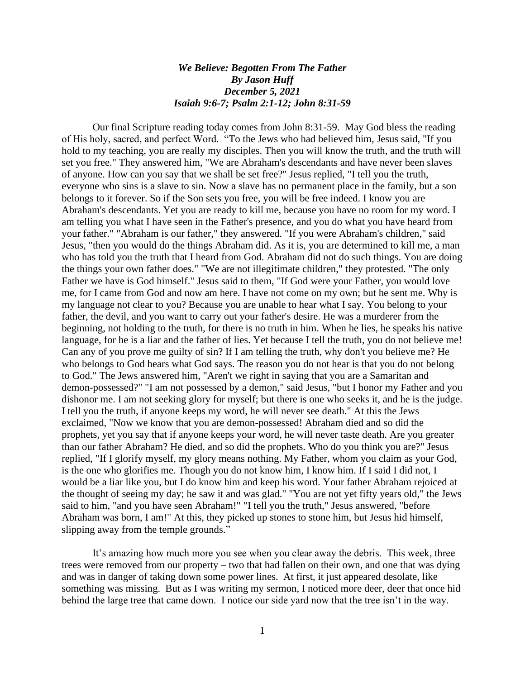## *We Believe: Begotten From The Father By Jason Huff December 5, 2021 Isaiah 9:6-7; Psalm 2:1-12; John 8:31-59*

Our final Scripture reading today comes from John 8:31-59. May God bless the reading of His holy, sacred, and perfect Word. "To the Jews who had believed him, Jesus said, "If you hold to my teaching, you are really my disciples. Then you will know the truth, and the truth will set you free." They answered him, "We are Abraham's descendants and have never been slaves of anyone. How can you say that we shall be set free?" Jesus replied, "I tell you the truth, everyone who sins is a slave to sin. Now a slave has no permanent place in the family, but a son belongs to it forever. So if the Son sets you free, you will be free indeed. I know you are Abraham's descendants. Yet you are ready to kill me, because you have no room for my word. I am telling you what I have seen in the Father's presence, and you do what you have heard from your father." "Abraham is our father," they answered. "If you were Abraham's children," said Jesus, "then you would do the things Abraham did. As it is, you are determined to kill me, a man who has told you the truth that I heard from God. Abraham did not do such things. You are doing the things your own father does." "We are not illegitimate children," they protested. "The only Father we have is God himself." Jesus said to them, "If God were your Father, you would love me, for I came from God and now am here. I have not come on my own; but he sent me. Why is my language not clear to you? Because you are unable to hear what I say. You belong to your father, the devil, and you want to carry out your father's desire. He was a murderer from the beginning, not holding to the truth, for there is no truth in him. When he lies, he speaks his native language, for he is a liar and the father of lies. Yet because I tell the truth, you do not believe me! Can any of you prove me guilty of sin? If I am telling the truth, why don't you believe me? He who belongs to God hears what God says. The reason you do not hear is that you do not belong to God." The Jews answered him, "Aren't we right in saying that you are a Samaritan and demon-possessed?" "I am not possessed by a demon," said Jesus, "but I honor my Father and you dishonor me. I am not seeking glory for myself; but there is one who seeks it, and he is the judge. I tell you the truth, if anyone keeps my word, he will never see death." At this the Jews exclaimed, "Now we know that you are demon-possessed! Abraham died and so did the prophets, yet you say that if anyone keeps your word, he will never taste death. Are you greater than our father Abraham? He died, and so did the prophets. Who do you think you are?" Jesus replied, "If I glorify myself, my glory means nothing. My Father, whom you claim as your God, is the one who glorifies me. Though you do not know him, I know him. If I said I did not, I would be a liar like you, but I do know him and keep his word. Your father Abraham rejoiced at the thought of seeing my day; he saw it and was glad." "You are not yet fifty years old," the Jews said to him, "and you have seen Abraham!" "I tell you the truth," Jesus answered, "before Abraham was born, I am!" At this, they picked up stones to stone him, but Jesus hid himself, slipping away from the temple grounds."

It's amazing how much more you see when you clear away the debris. This week, three trees were removed from our property – two that had fallen on their own, and one that was dying and was in danger of taking down some power lines. At first, it just appeared desolate, like something was missing. But as I was writing my sermon, I noticed more deer, deer that once hid behind the large tree that came down. I notice our side yard now that the tree isn't in the way.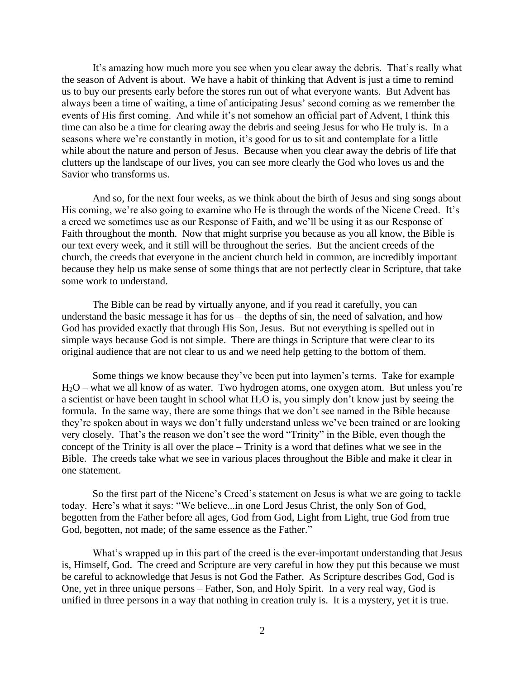It's amazing how much more you see when you clear away the debris. That's really what the season of Advent is about. We have a habit of thinking that Advent is just a time to remind us to buy our presents early before the stores run out of what everyone wants. But Advent has always been a time of waiting, a time of anticipating Jesus' second coming as we remember the events of His first coming. And while it's not somehow an official part of Advent, I think this time can also be a time for clearing away the debris and seeing Jesus for who He truly is. In a seasons where we're constantly in motion, it's good for us to sit and contemplate for a little while about the nature and person of Jesus. Because when you clear away the debris of life that clutters up the landscape of our lives, you can see more clearly the God who loves us and the Savior who transforms us.

And so, for the next four weeks, as we think about the birth of Jesus and sing songs about His coming, we're also going to examine who He is through the words of the Nicene Creed. It's a creed we sometimes use as our Response of Faith, and we'll be using it as our Response of Faith throughout the month. Now that might surprise you because as you all know, the Bible is our text every week, and it still will be throughout the series. But the ancient creeds of the church, the creeds that everyone in the ancient church held in common, are incredibly important because they help us make sense of some things that are not perfectly clear in Scripture, that take some work to understand.

The Bible can be read by virtually anyone, and if you read it carefully, you can understand the basic message it has for us – the depths of sin, the need of salvation, and how God has provided exactly that through His Son, Jesus. But not everything is spelled out in simple ways because God is not simple. There are things in Scripture that were clear to its original audience that are not clear to us and we need help getting to the bottom of them.

Some things we know because they've been put into laymen's terms. Take for example H2O – what we all know of as water. Two hydrogen atoms, one oxygen atom. But unless you're a scientist or have been taught in school what  $H_2O$  is, you simply don't know just by seeing the formula. In the same way, there are some things that we don't see named in the Bible because they're spoken about in ways we don't fully understand unless we've been trained or are looking very closely. That's the reason we don't see the word "Trinity" in the Bible, even though the concept of the Trinity is all over the place – Trinity is a word that defines what we see in the Bible. The creeds take what we see in various places throughout the Bible and make it clear in one statement.

So the first part of the Nicene's Creed's statement on Jesus is what we are going to tackle today. Here's what it says: "We believe...in one Lord Jesus Christ, the only Son of God, begotten from the Father before all ages, God from God, Light from Light, true God from true God, begotten, not made; of the same essence as the Father."

What's wrapped up in this part of the creed is the ever-important understanding that Jesus is, Himself, God. The creed and Scripture are very careful in how they put this because we must be careful to acknowledge that Jesus is not God the Father. As Scripture describes God, God is One, yet in three unique persons – Father, Son, and Holy Spirit. In a very real way, God is unified in three persons in a way that nothing in creation truly is. It is a mystery, yet it is true.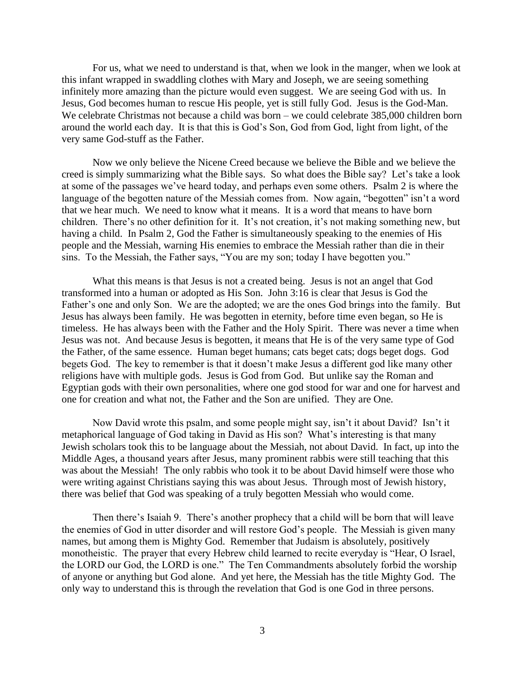For us, what we need to understand is that, when we look in the manger, when we look at this infant wrapped in swaddling clothes with Mary and Joseph, we are seeing something infinitely more amazing than the picture would even suggest. We are seeing God with us. In Jesus, God becomes human to rescue His people, yet is still fully God. Jesus is the God-Man. We celebrate Christmas not because a child was born – we could celebrate 385,000 children born around the world each day. It is that this is God's Son, God from God, light from light, of the very same God-stuff as the Father.

Now we only believe the Nicene Creed because we believe the Bible and we believe the creed is simply summarizing what the Bible says. So what does the Bible say? Let's take a look at some of the passages we've heard today, and perhaps even some others. Psalm 2 is where the language of the begotten nature of the Messiah comes from. Now again, "begotten" isn't a word that we hear much. We need to know what it means. It is a word that means to have born children. There's no other definition for it. It's not creation, it's not making something new, but having a child. In Psalm 2, God the Father is simultaneously speaking to the enemies of His people and the Messiah, warning His enemies to embrace the Messiah rather than die in their sins. To the Messiah, the Father says, "You are my son; today I have begotten you."

What this means is that Jesus is not a created being. Jesus is not an angel that God transformed into a human or adopted as His Son. John 3:16 is clear that Jesus is God the Father's one and only Son. We are the adopted; we are the ones God brings into the family. But Jesus has always been family. He was begotten in eternity, before time even began, so He is timeless. He has always been with the Father and the Holy Spirit. There was never a time when Jesus was not. And because Jesus is begotten, it means that He is of the very same type of God the Father, of the same essence. Human beget humans; cats beget cats; dogs beget dogs. God begets God. The key to remember is that it doesn't make Jesus a different god like many other religions have with multiple gods. Jesus is God from God. But unlike say the Roman and Egyptian gods with their own personalities, where one god stood for war and one for harvest and one for creation and what not, the Father and the Son are unified. They are One.

Now David wrote this psalm, and some people might say, isn't it about David? Isn't it metaphorical language of God taking in David as His son? What's interesting is that many Jewish scholars took this to be language about the Messiah, not about David. In fact, up into the Middle Ages, a thousand years after Jesus, many prominent rabbis were still teaching that this was about the Messiah! The only rabbis who took it to be about David himself were those who were writing against Christians saying this was about Jesus. Through most of Jewish history, there was belief that God was speaking of a truly begotten Messiah who would come.

Then there's Isaiah 9. There's another prophecy that a child will be born that will leave the enemies of God in utter disorder and will restore God's people. The Messiah is given many names, but among them is Mighty God. Remember that Judaism is absolutely, positively monotheistic. The prayer that every Hebrew child learned to recite everyday is "Hear, O Israel, the LORD our God, the LORD is one." The Ten Commandments absolutely forbid the worship of anyone or anything but God alone. And yet here, the Messiah has the title Mighty God. The only way to understand this is through the revelation that God is one God in three persons.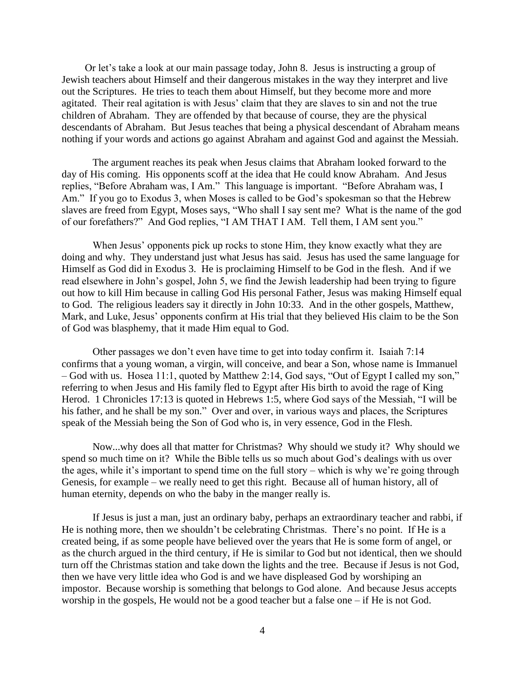Or let's take a look at our main passage today, John 8. Jesus is instructing a group of Jewish teachers about Himself and their dangerous mistakes in the way they interpret and live out the Scriptures. He tries to teach them about Himself, but they become more and more agitated. Their real agitation is with Jesus' claim that they are slaves to sin and not the true children of Abraham. They are offended by that because of course, they are the physical descendants of Abraham. But Jesus teaches that being a physical descendant of Abraham means nothing if your words and actions go against Abraham and against God and against the Messiah.

The argument reaches its peak when Jesus claims that Abraham looked forward to the day of His coming. His opponents scoff at the idea that He could know Abraham. And Jesus replies, "Before Abraham was, I Am." This language is important. "Before Abraham was, I Am." If you go to Exodus 3, when Moses is called to be God's spokesman so that the Hebrew slaves are freed from Egypt, Moses says, "Who shall I say sent me? What is the name of the god of our forefathers?" And God replies, "I AM THAT I AM. Tell them, I AM sent you."

When Jesus' opponents pick up rocks to stone Him, they know exactly what they are doing and why. They understand just what Jesus has said. Jesus has used the same language for Himself as God did in Exodus 3. He is proclaiming Himself to be God in the flesh. And if we read elsewhere in John's gospel, John 5, we find the Jewish leadership had been trying to figure out how to kill Him because in calling God His personal Father, Jesus was making Himself equal to God. The religious leaders say it directly in John 10:33. And in the other gospels, Matthew, Mark, and Luke, Jesus' opponents confirm at His trial that they believed His claim to be the Son of God was blasphemy, that it made Him equal to God.

Other passages we don't even have time to get into today confirm it. Isaiah 7:14 confirms that a young woman, a virgin, will conceive, and bear a Son, whose name is Immanuel – God with us. Hosea 11:1, quoted by Matthew 2:14, God says, "Out of Egypt I called my son," referring to when Jesus and His family fled to Egypt after His birth to avoid the rage of King Herod. 1 Chronicles 17:13 is quoted in Hebrews 1:5, where God says of the Messiah, "I will be his father, and he shall be my son." Over and over, in various ways and places, the Scriptures speak of the Messiah being the Son of God who is, in very essence, God in the Flesh.

Now...why does all that matter for Christmas? Why should we study it? Why should we spend so much time on it? While the Bible tells us so much about God's dealings with us over the ages, while it's important to spend time on the full story – which is why we're going through Genesis, for example – we really need to get this right. Because all of human history, all of human eternity, depends on who the baby in the manger really is.

If Jesus is just a man, just an ordinary baby, perhaps an extraordinary teacher and rabbi, if He is nothing more, then we shouldn't be celebrating Christmas. There's no point. If He is a created being, if as some people have believed over the years that He is some form of angel, or as the church argued in the third century, if He is similar to God but not identical, then we should turn off the Christmas station and take down the lights and the tree. Because if Jesus is not God, then we have very little idea who God is and we have displeased God by worshiping an impostor. Because worship is something that belongs to God alone. And because Jesus accepts worship in the gospels, He would not be a good teacher but a false one – if He is not God.